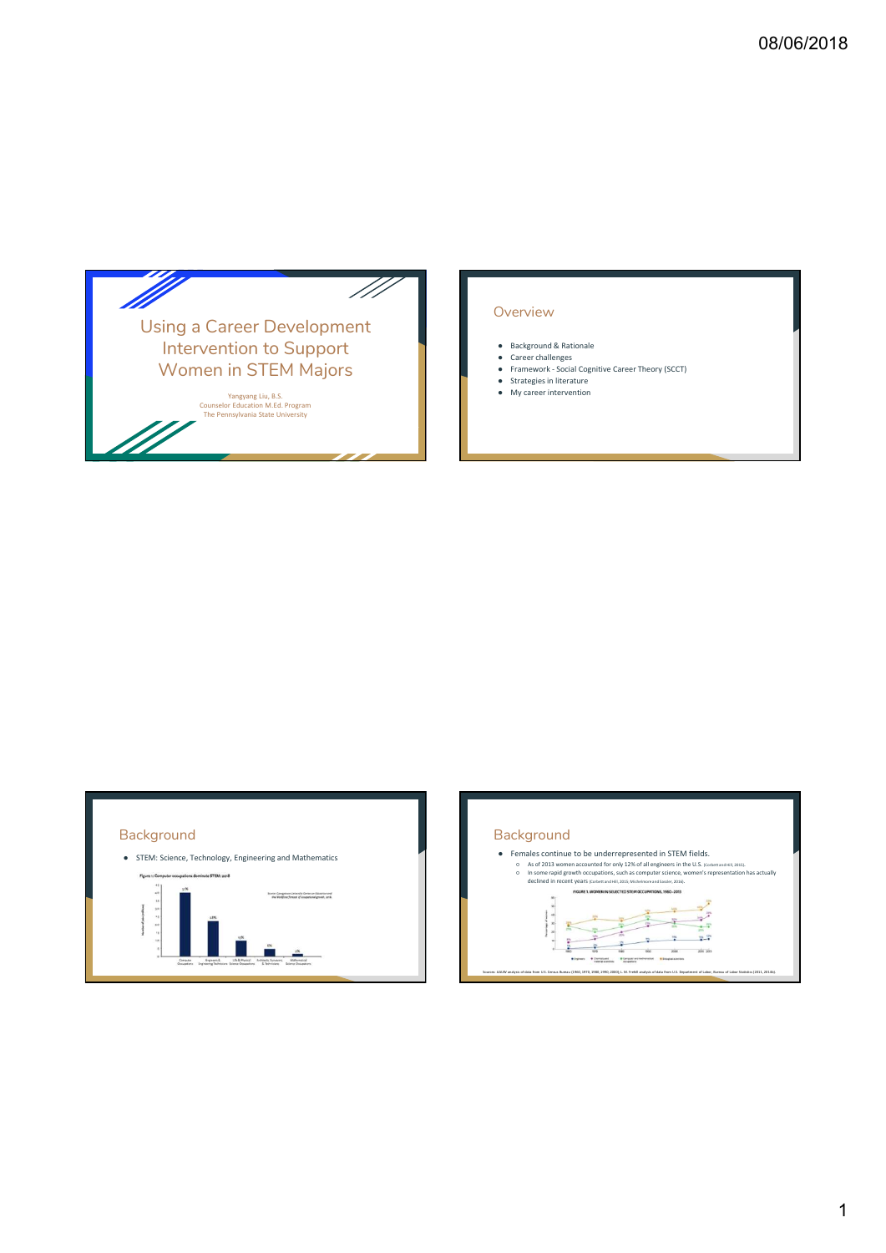

## **Overview**

- 
- **08/06/2018**<br>
Deverview<br>
 Background & Rationale<br>
 Career challenges<br>
 Farmewick Social Cognitive Career Theory (SCCT)<br>
 Farmewick Social Cognitive Career Theory (SCCT)<br>
 My career intervention **08/06/2018**<br>
<br>
DVerview<br>
• Background & Rationale<br>
• Career tollalenges<br>
• Framework - Social Cognitive Career Theory (SCCT)<br>
• Strategies in literature<br>
• My career intervention **08/06/2018**<br>
- Social Cognitive Care Cognitive Career Theory (SCCT)<br>
- Social Cognitive Career Theory (SCCT)<br>
- Framework - Social Cognitive Career Theory (SCCT)<br>
- My career intervention<br>
- My career intervention **08/06/2018**<br>
Depriview<br>
• Background & Rationale<br>
• Crace challenges<br>
• Framework - Social Cognitive Career Theory (SCCT)<br>
• Strategies in literature<br>
• My career intervention **08/06/2018**<br>
<br>
DVETVIEW<br>
• Background & Rationale<br>
• Care challenges<br>
• Framework - Social Cognitive Career Theory (SCCT)<br>
• My career intervention<br>
• My career intervention
- 
- 



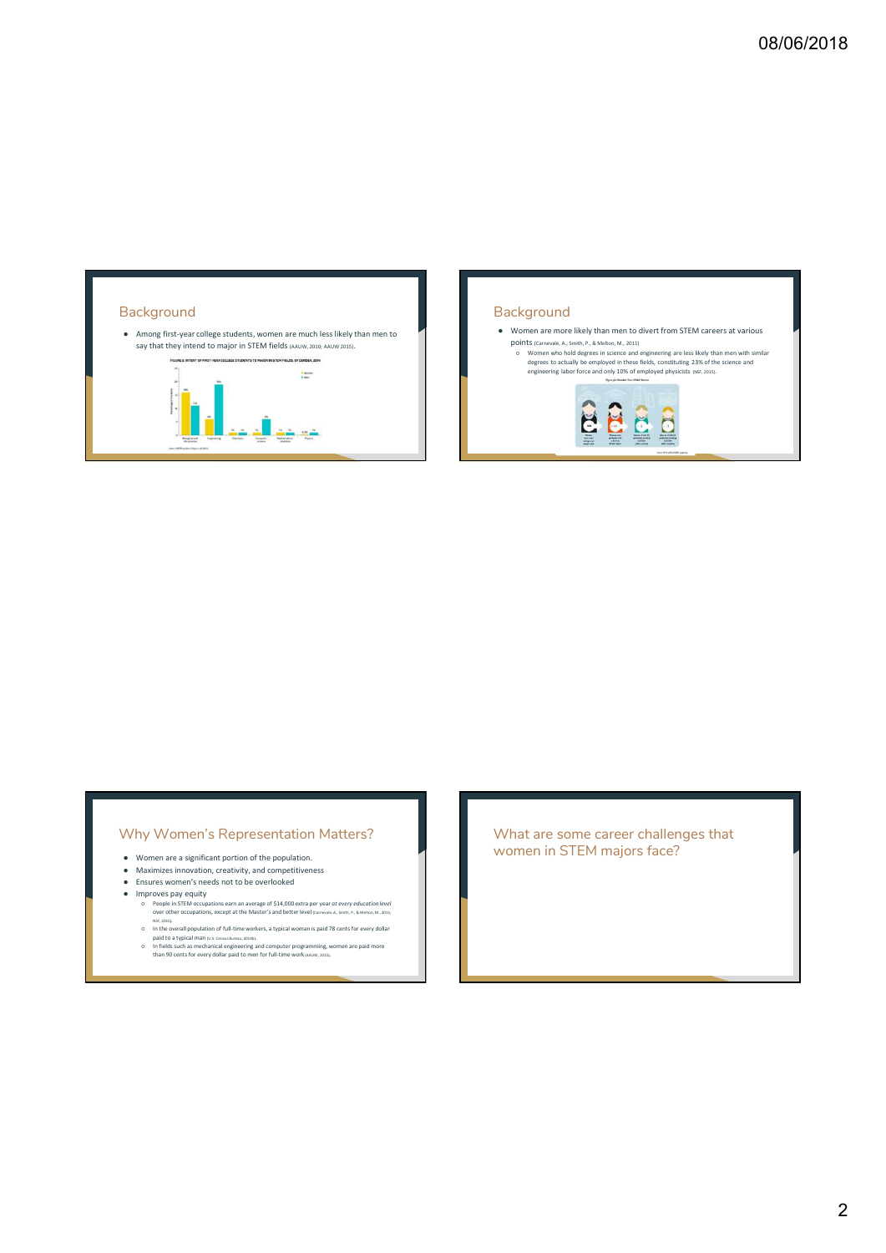

## Why Women's Representation Matters?

- 
- 
- 
- 
- **Why Women's Representation Matters?** What are some care<br>
 Women are a significant portion of the population.<br>
 Maximize involved, receiving and competitiveness<br>
 Ensures women's needs not to be overticleded<br>
 Ensures
	-
	-

Why Women's Representation Matters?<br>
\* www.sex.suite constrained throughless<br>
\* www.sex.suite constrained throughless<br>
\* www.sex.suite constrained throughly and the sections<br>
\* www.sex.suite constrained throughly and the s women in STEM majors face?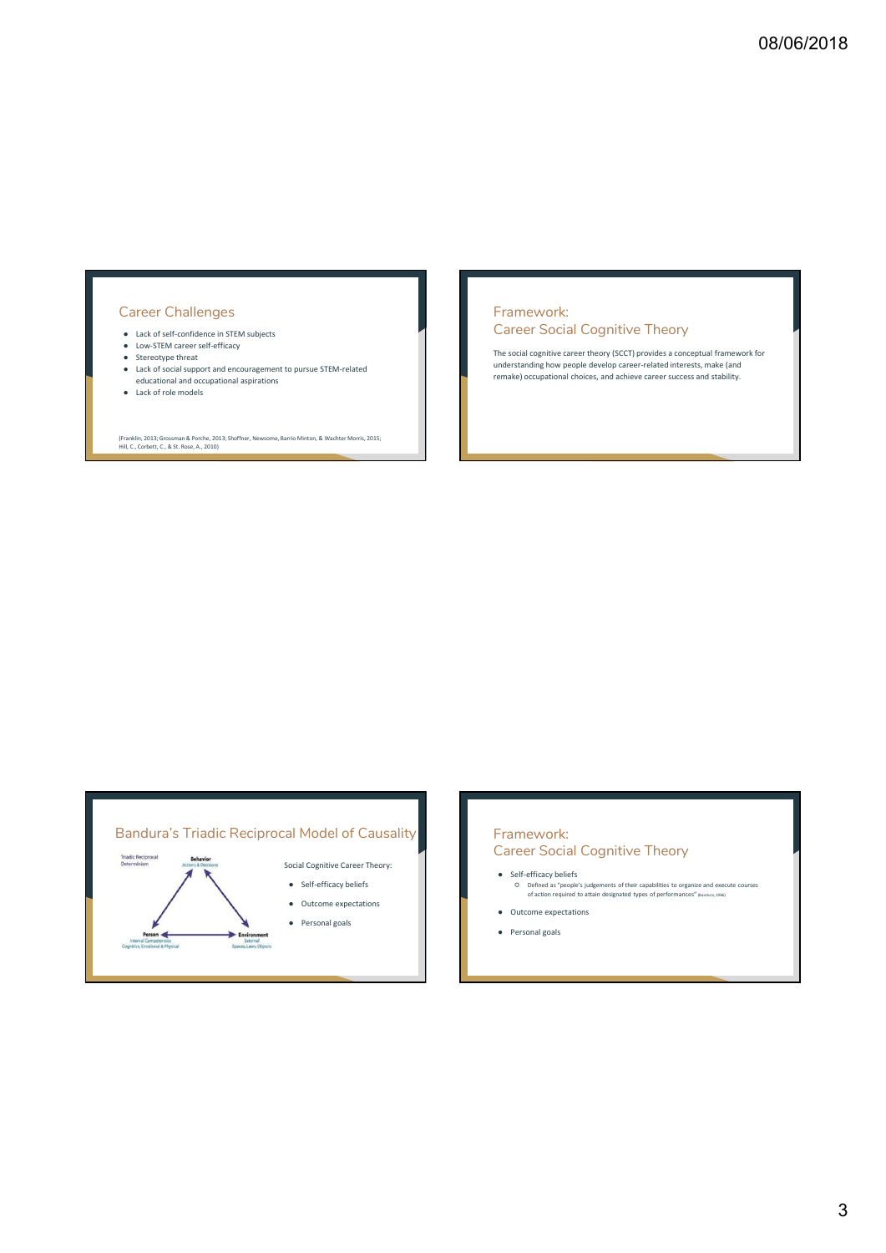## Career Challenges

- 
- 
- 
- Career Challenges<br>
 Lack of self-confidence in STEM subjects<br>
 Lack of self-confidence in STEM subjects<br>
 Stereotype threat<br>
 Stereotype threat<br>
 Stereotype threat<br>
 Stereotype threat<br>
 Stereotype threat<br>
 Stereoty Career Challenges<br>
• Latviste Containers institutely applied to the self-containers institutely applied to the self-efficiency<br>
• Stereotype threat applied to the self-efficiency<br>
• Latvisted apport and encouragement to pu  $\begin{tabular}{|c|c|} \hline \textbf{Corrected} & \textbf{Example 5} & \textbf{Frame 5} & \textbf{Frame 6} & \textbf{Frame 7} & \textbf{Frame 8} & \textbf{Frame 9} & \textbf{Frame 1} & \textbf{Frame 1} & \textbf{Frame 1} & \textbf{Frame 2} & \textbf{Frame 3} & \textbf{Frame 4} & \textbf{Frame 5} & \textbf{Frame 5} & \textbf{Frame 6} & \textbf{Frame 7} & \textbf{Frame 8} & \textbf{Frame 9} & \textbf{Frame 1} & \textbf{Frame 1} & \textbf{Frame 2} & \textbf{Frame 3}$ Career Challenges<br>
• Lack of self-carifedence in STEM-relates<br>
• Career Social Cognite<br>
• Lack of social support and encouragement to pursue STEM-related<br>
• Lack of role models<br>
• et ack of role models<br>
• et ack of relate Expecter Challenges<br>
• Lack of scientifiers in STEM subjects<br>
• Lock of Figure and Technology<br>
• Lack of rocial anglot and encouragement to pursue STEM-related<br>
• Lack of rocial anglot and encouragement to pursue STEM-rela
- 

(Franklin, 2013; Grossman & Porche, 2013; Shoffner, Newsome, Barrio Minton, & Wachter Morris, 2015; Hill, C., Corbett, C., & St. Rose, A., 2010)

## Framework: Career Social Cognitive Theory

The social cognitive career theory (SCCT) provides a conceptual framework for understanding how people develop career-related interests, make (and remake) occupational choices, and achieve career success and stability.



## Framework: Career Social Cognitive Theory Framework:<br>Career Social Cognitive Theory<br>● Self-efficacy beliefs<br>
© Defined as "people's judgements of their capabilities to agree and executive<br>of action registation designated types of performances" (Banduram,<br>
● Outco Framework:<br>
Premer Social Cognitive Theory<br>
• self-efficery beliefs<br>
• Continue air pregnie integrantes of their capabilities to approximate and concerns<br>
• Continue and the structure of the continue of the capabilities is

- 
- 
-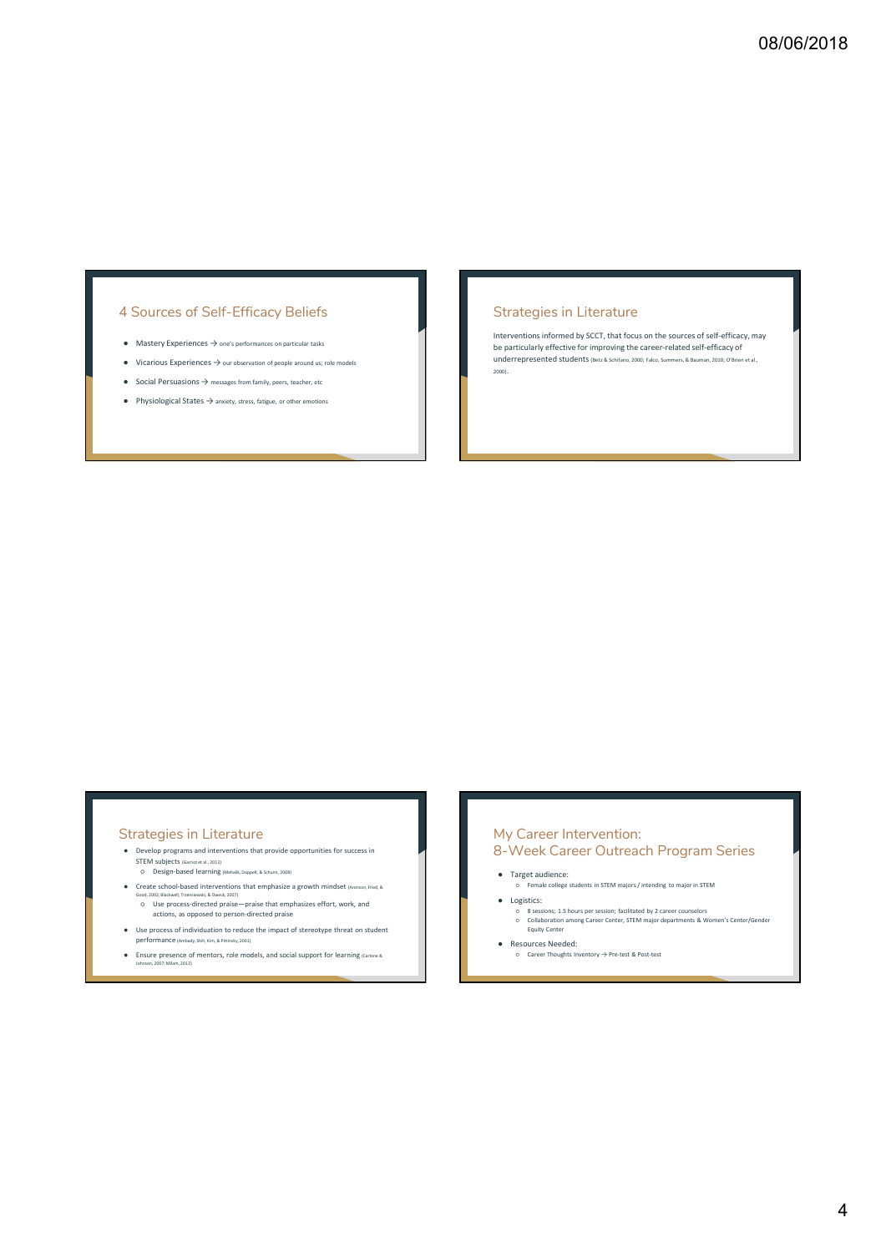## 4 Sources of Self-Efficacy Beliefs

- 
- 
- 
- 

## Strategies in Literature

A Sources of Self-Efficacy Beliefs<br>
• Mastery Experiences -> our series means argument was<br>
• Vicafous Experiences -> our starten must an agent was the section of the starter experience of the starter<br>
• Vicafous Experienc Interventions informed by SCCT, that focus on the sources of self-efficacy, may be particularly effective for improving the career-related self-efficacy of underrepresented students (Betz & Schifano, 2000; Falco, Summers, & Bauman, 2010; O'Brien et al., 2000).

- 
- 
- $\begin{minipage}[t]{0.01\textwidth} \begin{tabular}{|c|c|} \hline \textbf{Strategy} & \textbf{in} & \textbf{iterative} \\ \hline \textbf{Strategy} & \textbf{in} & \textbf{in} \\ \hline \textbf{Frequency} & \textbf{in} & \textbf{in} \\ \hline \textbf{Frequency} & \textbf{if} & \textbf{in} \\ \hline \textbf{Frequency} & \textbf{if} & \textbf{in} \\ \hline \textbf{Frequency} & \textbf{if} & \textbf{in} \\ \hline \textbf{Frequency} & \textbf{if} & \textbf{in} \\ \hline \textbf{Frequency} & \textbf{if} & \textbf{in$
- 
- 

# My Career Intervention: 8-Week Career Outreach Program Series My Career Intervention:<br>• Target audience:<br>• Target audience:<br>• Target audience:<br>• Logislics:<br>• Logislics: Sharper automorphism in STEM majors/intending to major in STEM<br>• College students in an any carrier college studen My Career Intervention:<br>-<br>- Week Career Outreach Program Series<br>- Transtationics:<br>- Transformation of the state content magnety readers to magnet in State<br>- Celestricity in Shourn per sension, buttonically and your counter

- 
- -
- -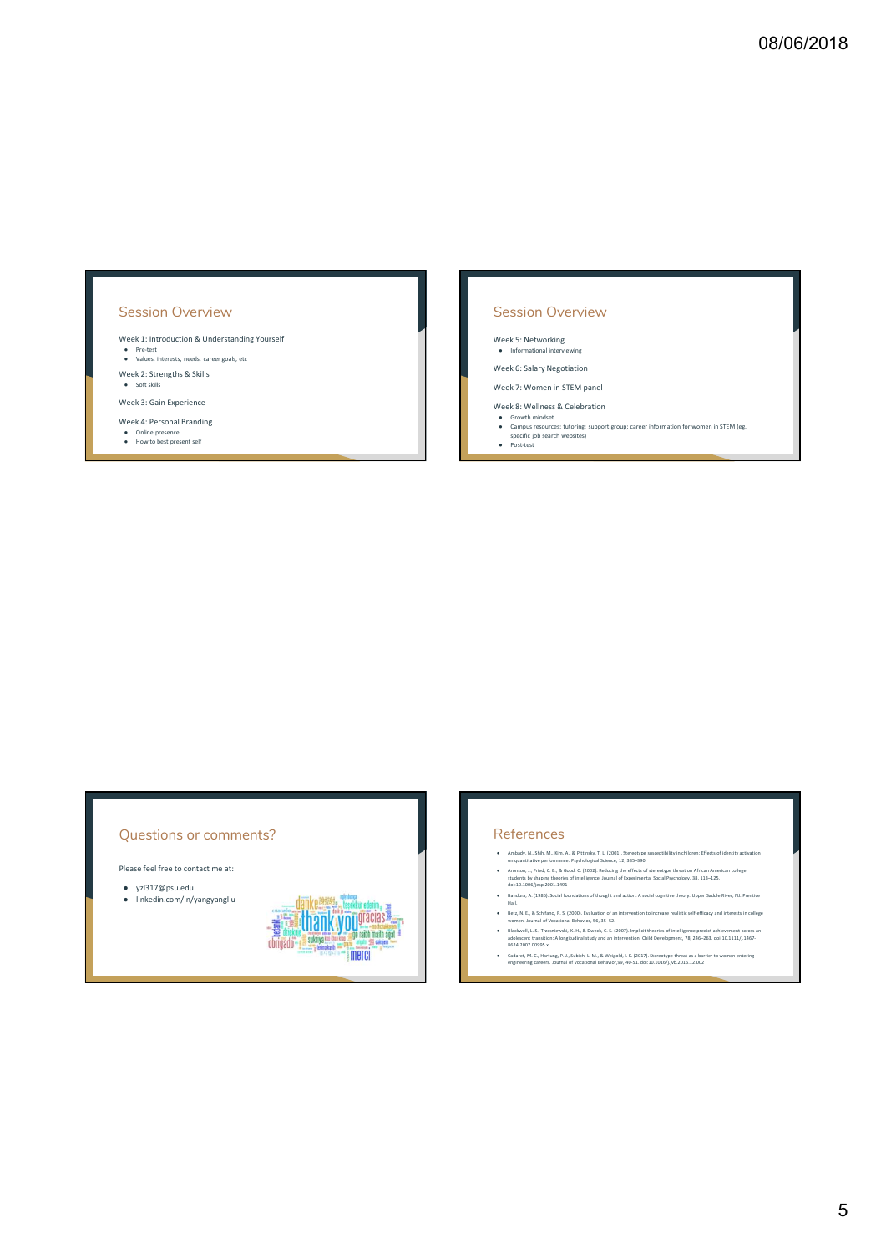## Session Overview

## Session Overview

Week 7: Women in STEM panel

- 
- Week 1: Introduction & Understanding Yourself and the restanding Yourself and the Values, interests, needs, career goals, and the pre-test of the strengths & Skills Week 2: Strengths & Skills Week 3: Gain Experience and We Session Overview<br>
Week 1: Introduction & Understanding Yourself<br>
• Youss, Interact, once concerned<br>
• Youss, Interact, once concerned<br>
• Youss, Extends only to be a Suite present self of the Suite presence of Week 5: Your **OB/O6/2018**<br>
Session Overview<br>
Week 5: Networking<br>
week 5: Salary Negotiation<br>
week 5: Salary Negotiation<br>
Week 8: Wellness & Celebration<br>
Week 6: Wellness & Celebration<br>
← Convent management groups career information fo Week 8: Werk 8: Werk 8: Werk 8: Werk 8: Werk 8: Wellness & Celebration Brown mindset and Campus resources: the Campus resources: the Campus resources: two campus resources: two campus resources: two changes of control webs

## Questions or comments?

- 
- $\begin{minipage}{0.99\textwidth} \begin{tabular}{|c|c|} \hline \textbf{Question 1} & \textbf{Reference} & \textbf{Reference} \\ \hline \textbf{Figure 1:} & \textbf{Reference} & \textbf{Reference} \\ & \textit{intractive} & \textit{invariant} \\ \hline \textit{inientive} & \textit{invariant} \\ \hline \textit{inientive} & \textit{invariant} \\ \hline \textit{inientive} & \textit{invariant} \\ \hline \textit{inientive} & \textit{invariant} \\ \hline \textit{inientive} & \textit{invariant} \\ \hline \textit{inientive} & \textit{invariant} \\ \h$  $\begin{minipage}{0.99\textwidth} \begin{tabular}{|c|c|c|} \hline \textbf{N} & \textbf{S} & \textbf{S} & \textbf{S} & \textbf{S} & \textbf{S} & \textbf{S} & \textbf{S} & \textbf{S} & \textbf{S} & \textbf{S} & \textbf{S} & \textbf{S} & \textbf{S} & \textbf{S} & \textbf{S} & \textbf{S} & \textbf{S} & \textbf{S} & \textbf{S} & \textbf{S} & \textbf{S} & \textbf{S} & \textbf{S} & \textbf{S} & \textbf{S} & \textbf{S}$

- 
- 
- 
- $\label{eq:20} \begin{minipage}[t]{0.5in} {\bf \textbf{CGF}}({\bf \textbf{CGF}})({\bf \textbf{CGF}})={\bf \textbf{CGF}}({\bf \textbf{CGF}})({\bf \textbf{CGF}})({\bf \textbf{CGF}})({\bf \textbf{CGF}})({\bf \textbf{CGF}})({\bf \textbf{CGF}})({\bf \textbf{CGF}})({\bf \textbf{CGF}})({\bf \textbf{CGF}})({\bf \textbf{CGF}})({\bf \textbf{CGF}})({\bf \textbf{CGF}})({\bf \textbf{CGF}})({\bf \textbf{CGF}})({\bf$
- $\begin{minipage}[t]{0.9\textwidth} \begin{tabular}{p{0.8cm}p{0.8cm}p{0.8cm}p{0.8cm} \begin{tabular}{p{0.8cm}p{0.8cm}p{0.8cm}p{0.8cm}p{0.8cm}p{0.8cm}p{0.8cm}p{0.8cm}p{0.8cm}p{0.8cm}p{0.8cm}p{0.8cm}p{0.8cm}p{0.8cm}p{0.8cm}p{0.8cm}p{0.8cm}p{0.8cm}p{0.8cm}p{0.8cm}p{0.8cm}p{0.8cm}p{0.8cm}p{0$ Blackwell, L. S., Trzesniewski, K. H., & Dweck, C. S. (2007). Implicit theories of intelligence predict achievement across an adolescent transition: A longitudinal study and an intervention. Child Development, 78, 246–263.
-